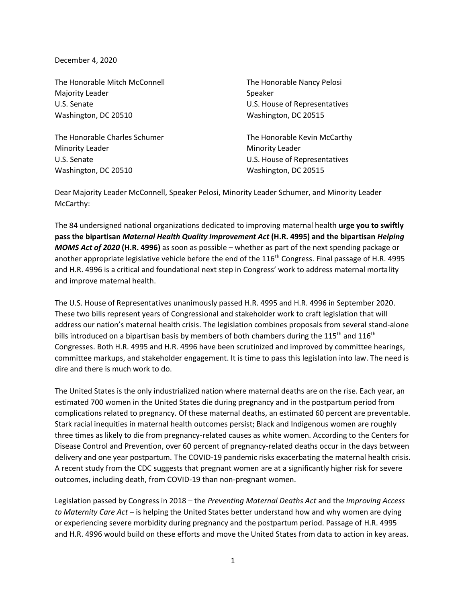December 4, 2020

The Honorable Mitch McConnell The Honorable Nancy Pelosi Majority Leader National Accounts of the Speaker U.S. Senate U.S. House of Representatives Washington, DC 20510 Washington, DC 20515

The Honorable Charles Schumer The Honorable Kevin McCarthy Minority Leader **Minority Leader Minority Leader** U.S. Senate U.S. House of Representatives Washington, DC 20510 Washington, DC 20515

Dear Majority Leader McConnell, Speaker Pelosi, Minority Leader Schumer, and Minority Leader McCarthy:

The 84 undersigned national organizations dedicated to improving maternal health **urge you to swiftly pass the bipartisan** *Maternal Health Quality Improvement Act* **(H.R. 4995) and the bipartisan** *Helping MOMS Act of 2020* **(H.R. 4996)** as soon as possible – whether as part of the next spending package or another appropriate legislative vehicle before the end of the 116<sup>th</sup> Congress. Final passage of H.R. 4995 and H.R. 4996 is a critical and foundational next step in Congress' work to address maternal mortality and improve maternal health.

The U.S. House of Representatives unanimously passed H.R. 4995 and H.R. 4996 in September 2020. These two bills represent years of Congressional and stakeholder work to craft legislation that will address our nation's maternal health crisis. The legislation combines proposals from several stand-alone bills introduced on a bipartisan basis by members of both chambers during the 115<sup>th</sup> and 116<sup>th</sup> Congresses. Both H.R. 4995 and H.R. 4996 have been scrutinized and improved by committee hearings, committee markups, and stakeholder engagement. It is time to pass this legislation into law. The need is dire and there is much work to do.

The United States is the only industrialized nation where maternal deaths are on the rise. Each year, an estimated 700 women in the United States die during pregnancy and in the postpartum period from complications related to pregnancy. Of these maternal deaths, an estimated 60 percent are preventable. Stark racial inequities in maternal health outcomes persist; Black and Indigenous women are roughly three times as likely to die from pregnancy-related causes as white women. According to the Centers for Disease Control and Prevention, over 60 percent of pregnancy-related deaths occur in the days between delivery and one year postpartum. The COVID-19 pandemic risks exacerbating the maternal health crisis. A recent study from the CDC suggests that pregnant women are at a significantly higher risk for severe outcomes, including death, from COVID-19 than non-pregnant women.

Legislation passed by Congress in 2018 – the *Preventing Maternal Deaths Act* and the *Improving Access to Maternity Care Act* – is helping the United States better understand how and why women are dying or experiencing severe morbidity during pregnancy and the postpartum period. Passage of H.R. 4995 and H.R. 4996 would build on these efforts and move the United States from data to action in key areas.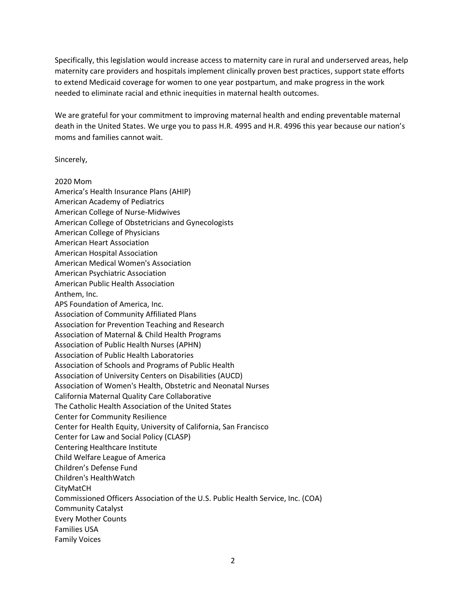Specifically, this legislation would increase access to maternity care in rural and underserved areas, help maternity care providers and hospitals implement clinically proven best practices, support state efforts to extend Medicaid coverage for women to one year postpartum, and make progress in the work needed to eliminate racial and ethnic inequities in maternal health outcomes.

We are grateful for your commitment to improving maternal health and ending preventable maternal death in the United States. We urge you to pass H.R. 4995 and H.R. 4996 this year because our nation's moms and families cannot wait.

Sincerely,

2020 Mom America's Health Insurance Plans (AHIP) American Academy of Pediatrics American College of Nurse-Midwives American College of Obstetricians and Gynecologists American College of Physicians American Heart Association American Hospital Association American Medical Women's Association American Psychiatric Association American Public Health Association Anthem, Inc. APS Foundation of America, Inc. Association of Community Affiliated Plans Association for Prevention Teaching and Research Association of Maternal & Child Health Programs Association of Public Health Nurses (APHN) Association of Public Health Laboratories Association of Schools and Programs of Public Health Association of University Centers on Disabilities (AUCD) Association of Women's Health, Obstetric and Neonatal Nurses California Maternal Quality Care Collaborative The Catholic Health Association of the United States Center for Community Resilience Center for Health Equity, University of California, San Francisco Center for Law and Social Policy (CLASP) Centering Healthcare Institute Child Welfare League of America Children's Defense Fund Children's HealthWatch CityMatCH Commissioned Officers Association of the U.S. Public Health Service, Inc. (COA) Community Catalyst Every Mother Counts Families USA Family Voices